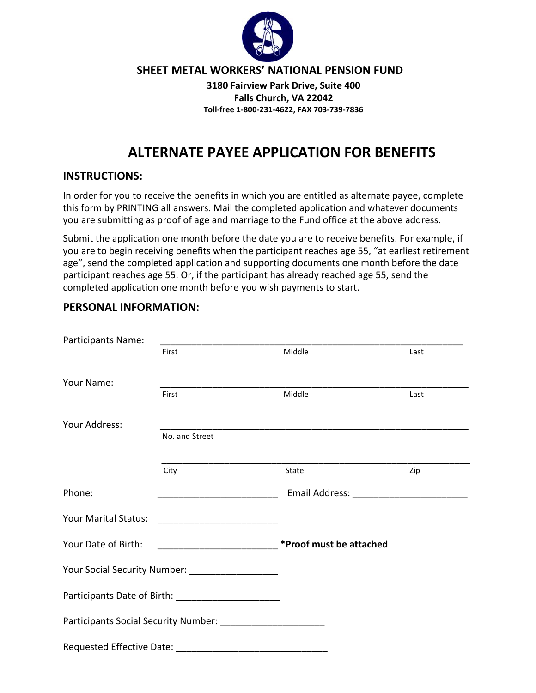

## **3180 Fairview Park Drive, Suite 400 Falls Church, VA 22042 Toll-free 1-800-231-4622, FAX 703-739-7836**

# **ALTERNATE PAYEE APPLICATION FOR BENEFITS**

# **INSTRUCTIONS:**

In order for you to receive the benefits in which you are entitled as alternate payee, complete this form by PRINTING all answers. Mail the completed application and whatever documents you are submitting as proof of age and marriage to the Fund office at the above address.

Submit the application one month before the date you are to receive benefits. For example, if you are to begin receiving benefits when the participant reaches age 55, "at earliest retirement age", send the completed application and supporting documents one month before the date participant reaches age 55. Or, if the participant has already reached age 55, send the completed application one month before you wish payments to start.

| <b>Participants Name:</b> |                                                                                                                      |                                                                                                                                                                                                                                |      |
|---------------------------|----------------------------------------------------------------------------------------------------------------------|--------------------------------------------------------------------------------------------------------------------------------------------------------------------------------------------------------------------------------|------|
|                           | First                                                                                                                | Middle                                                                                                                                                                                                                         | Last |
| Your Name:                |                                                                                                                      |                                                                                                                                                                                                                                |      |
|                           | First                                                                                                                | Middle                                                                                                                                                                                                                         | Last |
| Your Address:             |                                                                                                                      |                                                                                                                                                                                                                                |      |
|                           | No. and Street                                                                                                       |                                                                                                                                                                                                                                |      |
|                           | City                                                                                                                 | State                                                                                                                                                                                                                          | Zip  |
| Phone:                    |                                                                                                                      | Email Address: The Contract of the Contract of the Contract of the Contract of the Contract of the Contract of the Contract of the Contract of the Contract of the Contract of the Contract of the Contract of the Contract of |      |
| Your Marital Status:      | <u> 1989 - Jan James James James James James James James James James James James James James James James James J</u> |                                                                                                                                                                                                                                |      |
| Your Date of Birth:       |                                                                                                                      | *Proof must be attached                                                                                                                                                                                                        |      |
|                           | Your Social Security Number: ____________________                                                                    |                                                                                                                                                                                                                                |      |
|                           | Participants Date of Birth: _______________________                                                                  |                                                                                                                                                                                                                                |      |
|                           |                                                                                                                      |                                                                                                                                                                                                                                |      |
|                           |                                                                                                                      |                                                                                                                                                                                                                                |      |

# **PERSONAL INFORMATION:**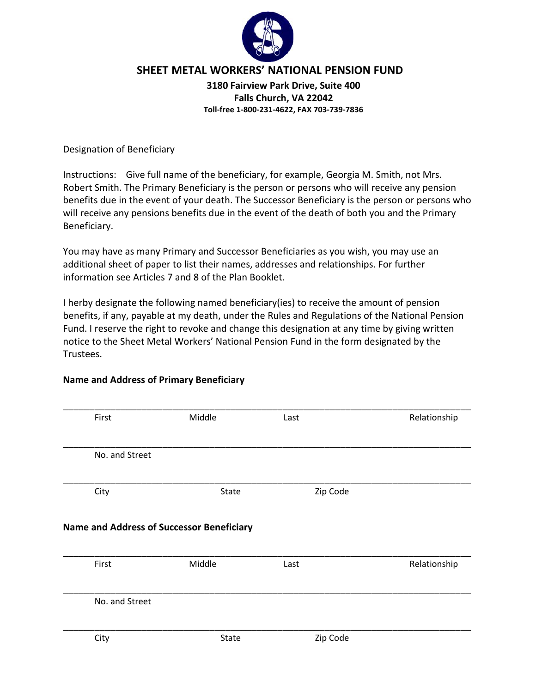

## **3180 Fairview Park Drive, Suite 400 Falls Church, VA 22042 Toll-free 1-800-231-4622, FAX 703-739-7836**

Designation of Beneficiary

Instructions: Give full name of the beneficiary, for example, Georgia M. Smith, not Mrs. Robert Smith. The Primary Beneficiary is the person or persons who will receive any pension benefits due in the event of your death. The Successor Beneficiary is the person or persons who will receive any pensions benefits due in the event of the death of both you and the Primary Beneficiary.

You may have as many Primary and Successor Beneficiaries as you wish, you may use an additional sheet of paper to list their names, addresses and relationships. For further information see Articles 7 and 8 of the Plan Booklet.

I herby designate the following named beneficiary(ies) to receive the amount of pension benefits, if any, payable at my death, under the Rules and Regulations of the National Pension Fund. I reserve the right to revoke and change this designation at any time by giving written notice to the Sheet Metal Workers' National Pension Fund in the form designated by the Trustees.

#### **Name and Address of Primary Beneficiary**

| First          | Middle                                           | Last     | Relationship |
|----------------|--------------------------------------------------|----------|--------------|
| No. and Street |                                                  |          |              |
| City           | State                                            | Zip Code |              |
|                |                                                  |          |              |
|                | <b>Name and Address of Successor Beneficiary</b> |          |              |
| First          | Middle                                           | Last     | Relationship |
| No. and Street |                                                  |          |              |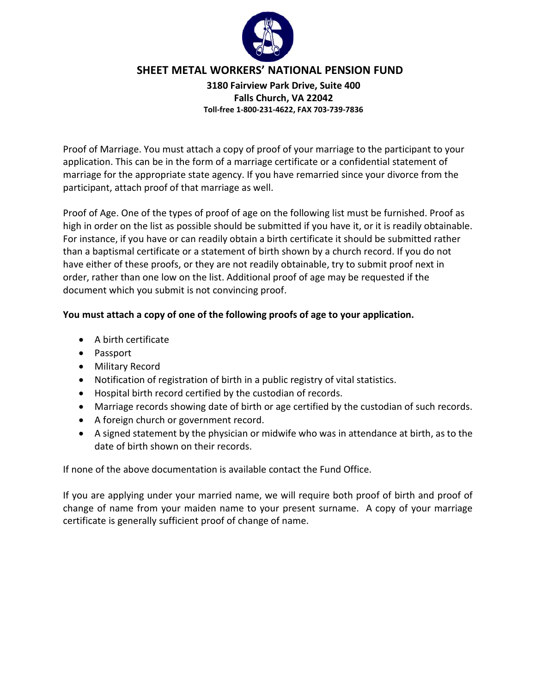

**3180 Fairview Park Drive, Suite 400 Falls Church, VA 22042 Toll-free 1-800-231-4622, FAX 703-739-7836**

Proof of Marriage. You must attach a copy of proof of your marriage to the participant to your application. This can be in the form of a marriage certificate or a confidential statement of marriage for the appropriate state agency. If you have remarried since your divorce from the participant, attach proof of that marriage as well.

Proof of Age. One of the types of proof of age on the following list must be furnished. Proof as high in order on the list as possible should be submitted if you have it, or it is readily obtainable. For instance, if you have or can readily obtain a birth certificate it should be submitted rather than a baptismal certificate or a statement of birth shown by a church record. If you do not have either of these proofs, or they are not readily obtainable, try to submit proof next in order, rather than one low on the list. Additional proof of age may be requested if the document which you submit is not convincing proof.

## **You must attach a copy of one of the following proofs of age to your application.**

- A birth certificate
- Passport
- Military Record
- Notification of registration of birth in a public registry of vital statistics.
- Hospital birth record certified by the custodian of records.
- Marriage records showing date of birth or age certified by the custodian of such records.
- A foreign church or government record.
- A signed statement by the physician or midwife who was in attendance at birth, as to the date of birth shown on their records.

If none of the above documentation is available contact the Fund Office.

If you are applying under your married name, we will require both proof of birth and proof of change of name from your maiden name to your present surname. A copy of your marriage certificate is generally sufficient proof of change of name.